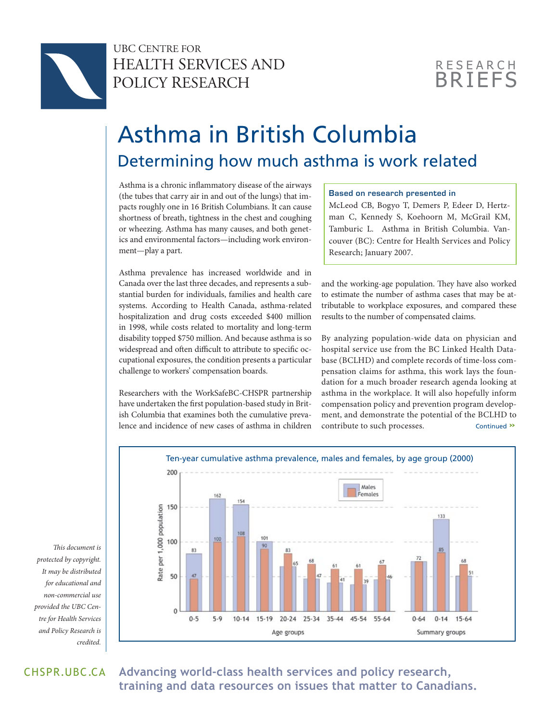

# UBC CENTRE FOR HEALTH SERVICES AND POLICY RESEARCH

# **BRIFFS RESEARCH**

# Asthma in British Columbia Determining how much asthma is work related

Asthma is a chronic inflammatory disease of the airways (the tubes that carry air in and out of the lungs) that impacts roughly one in 16 British Columbians. It can cause shortness of breath, tightness in the chest and coughing or wheezing. Asthma has many causes, and both genetics and environmental factors—including work environment—play a part.

Asthma prevalence has increased worldwide and in Canada over the last three decades, and represents a substantial burden for individuals, families and health care systems. According to Health Canada, asthma-related hospitalization and drug costs exceeded \$400 million in 1998, while costs related to mortality and long-term disability topped \$750 million. And because asthma is so widespread and often difficult to attribute to specific occupational exposures, the condition presents a particular challenge to workers' compensation boards.

Researchers with the WorkSafeBC-CHSPR partnership have undertaken the first population-based study in British Columbia that examines both the cumulative prevalence and incidence of new cases of asthma in children

### **Based on research presented in**

McLeod CB, Bogyo T, Demers P, Edeer D, Hertzman C, Kennedy S, Koehoorn M, McGrail KM, Tamburic L. Asthma in British Columbia. Vancouver (BC): Centre for Health Services and Policy Research; January 2007.

and the working-age population. They have also worked to estimate the number of asthma cases that may be attributable to workplace exposures, and compared these results to the number of compensated claims.

By analyzing population-wide data on physician and hospital service use from the BC Linked Health Database (BCLHD) and complete records of time-loss compensation claims for asthma, this work lays the foundation for a much broader research agenda looking at asthma in the workplace. It will also hopefully inform compensation policy and prevention program development, and demonstrate the potential of the BCLHD to contribute to such processes. Continued **»**



*This document is protected by copyright. It may be distributed for educational and non-commercial use provided the UBC Centre for Health Services and Policy Research is credited.* 

CHSPR*.*UBC.CA **Advancing world-class health services and policy research, training and data resources on issues that matter to Canadians.**